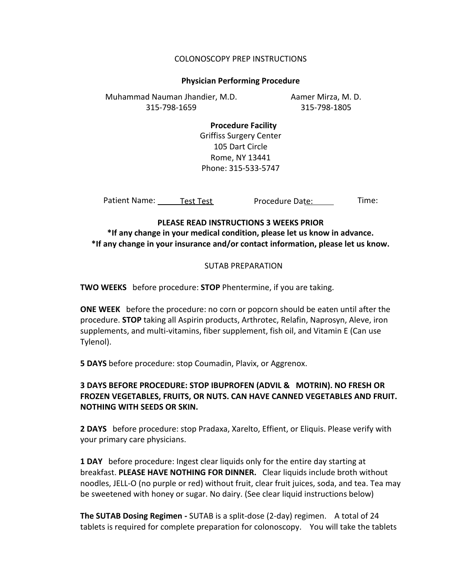#### COLONOSCOPY PREP INSTRUCTIONS

#### **Physician Performing Procedure**

Aamer Mirza, M. D. 315-798-1805 Muhammad Nauman Jhandier, M.D. 315-798-1659

> **Procedure Facility** Griffiss Surgery Center 105 Dart Circle Rome, NY 13441 Phone: 315-533-5747

Patient Name: Test Test Test Procedure Date: Time: Procedure Date:

## **PLEASE READ INSTRUCTIONS 3 WEEKS PRIOR**

**\*If any change in your medical condition, please let us know in advance. \*If any change in your insurance and/or contact information, please let us know.**

#### SUTAB PREPARATION

**TWO WEEKS** before procedure: **STOP** Phentermine, if you are taking.

**ONE WEEK** before the procedure: no corn or popcorn should be eaten until after the procedure. **STOP** taking all Aspirin products, Arthrotec, Relafin, Naprosyn, Aleve, iron supplements, and multi-vitamins, fiber supplement, fish oil, and Vitamin E (Can use Tylenol).

**5 DAYS** before procedure: stop Coumadin, Plavix, or Aggrenox.

# **3 DAYS BEFORE PROCEDURE: STOP IBUPROFEN (ADVIL & MOTRIN). NO FRESH OR FROZEN VEGETABLES, FRUITS, OR NUTS. CAN HAVE CANNED VEGETABLES AND FRUIT. NOTHING WITH SEEDS OR SKIN.**

**2 DAYS** before procedure: stop Pradaxa, Xarelto, Effient, or Eliquis. Please verify with your primary care physicians.

**1 DAY** before procedure: Ingest clear liquids only for the entire day starting at breakfast. **PLEASE HAVE NOTHING FOR DINNER.** Clear liquids include broth without noodles, JELL-O (no purple or red) without fruit, clear fruit juices, soda, and tea. Tea may be sweetened with honey or sugar. No dairy. (See clear liquid instructions below)

**The SUTAB Dosing Regimen -** SUTAB is a split-dose (2-day) regimen. A total of 24 tablets is required for complete preparation for colonoscopy. You will take the tablets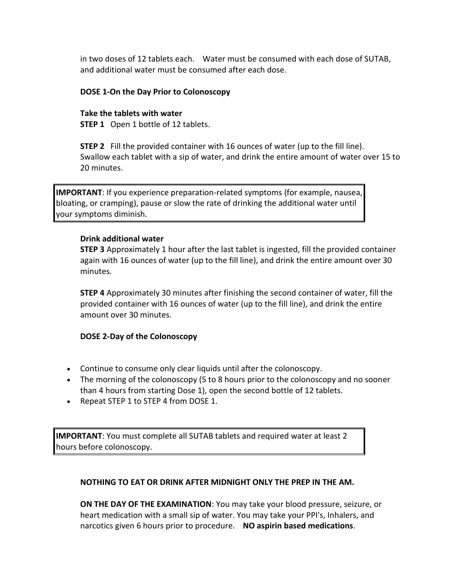in two doses of 12 tablets each. Water must be consumed with each dose of SUTAB, and additional water must be consumed after each dose.

## **DOSE 1-On the Day Prior to Colonoscopy**

# **Take the tablets with water**

**STEP 1** Open 1 bottle of 12 tablets.

**STEP 2** Fill the provided container with 16 ounces of water (up to the fill line). Swallow each tablet with a sip of water, and drink the entire amount of water over 15 to 20 minutes.

**IMPORTANT**: If you experience preparation-related symptoms (for example, nausea, bloating, or cramping), pause or slow the rate of drinking the additional water until your symptoms diminish.

## **Drink additional water**

**STEP 3** Approximately 1 hour after the last tablet is ingested, fill the provided container again with 16 ounces of water (up to the fill line), and drink the entire amount over 30 minutes.

**STEP 4** Approximately 30 minutes after finishing the second container of water, fill the provided container with 16 ounces of water (up to the fill line), and drink the entire amount over 30 minutes.

## **DOSE 2-Day of the Colonoscopy**

- Continue to consume only clear liquids until after the colonoscopy.
- The morning of the colonoscopy (5 to 8 hours prior to the colonoscopy and no sooner than 4 hours from starting Dose 1), open the second bottle of 12 tablets.
- Repeat STEP 1 to STEP 4 from DOSE 1.

**IMPORTANT**: You must complete all SUTAB tablets and required water at least 2 hours before colonoscopy.

## **NOTHING TO EAT OR DRINK AFTER MIDNIGHT ONLY THE PREP IN THE AM.**

**ON THE DAY OF THE EXAMINATION**: You may take your blood pressure, seizure, or heart medication with a small sip of water. You may take your PPI's, Inhalers, and narcotics given 6 hours prior to procedure. **NO aspirin based medications**.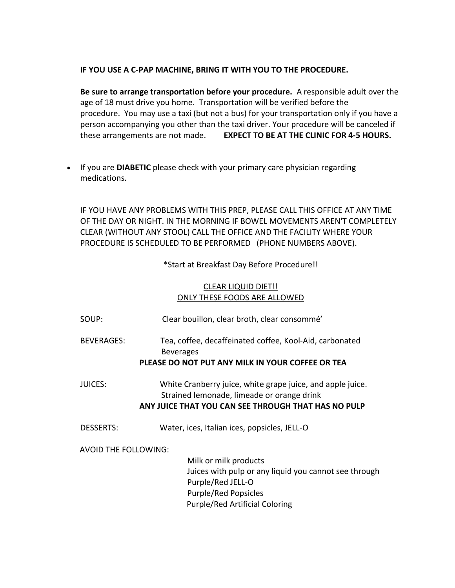#### **IF YOU USE A C-PAP MACHINE, BRING IT WITH YOU TO THE PROCEDURE.**

**Be sure to arrange transportation before your procedure.** A responsible adult over the age of 18 must drive you home. Transportation will be verified before the procedure. You may use a taxi (but not a bus) for your transportation only if you have a person accompanying you other than the taxi driver. Your procedure will be canceled if these arrangements are not made. **EXPECT TO BE AT THE CLINIC FOR 4-5 HOURS.**

 If you are **DIABETIC** please check with your primary care physician regarding medications.

IF YOU HAVE ANY PROBLEMS WITH THIS PREP, PLEASE CALL THIS OFFICE AT ANY TIME OF THE DAY OR NIGHT. IN THE MORNING IF BOWEL MOVEMENTS AREN'T COMPLETELY CLEAR (WITHOUT ANY STOOL) CALL THE OFFICE AND THE FACILITY WHERE YOUR PROCEDURE IS SCHEDULED TO BE PERFORMED (PHONE NUMBERS ABOVE).

\*Start at Breakfast Day Before Procedure!!

## CLEAR LIQUID DIET!! ONLY THESE FOODS ARE ALLOWED

| SOUP:                | Clear bouillon, clear broth, clear consommé'                                                                                                                         |
|----------------------|----------------------------------------------------------------------------------------------------------------------------------------------------------------------|
| <b>BEVERAGES:</b>    | Tea, coffee, decaffeinated coffee, Kool-Aid, carbonated<br><b>Beverages</b><br>PLEASE DO NOT PUT ANY MILK IN YOUR COFFEE OR TEA                                      |
| <b>JUICES:</b>       | White Cranberry juice, white grape juice, and apple juice.<br>Strained lemonade, limeade or orange drink<br>ANY JUICE THAT YOU CAN SEE THROUGH THAT HAS NO PULP      |
| <b>DESSERTS:</b>     | Water, ices, Italian ices, popsicles, JELL-O                                                                                                                         |
| AVOID THE FOLLOWING: | Milk or milk products<br>Juices with pulp or any liquid you cannot see through<br>Purple/Red JELL-O<br>Purple/Red Popsicles<br><b>Purple/Red Artificial Coloring</b> |